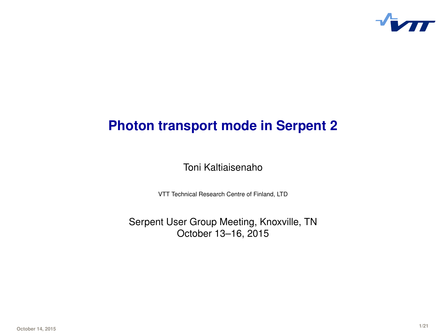

# **Photon transport mode in Serpent 2**

Toni Kaltiaisenaho

VTT Technical Research Centre of Finland, LTD

Serpent User Group Meeting, Knoxville, TN October 13–16, 2015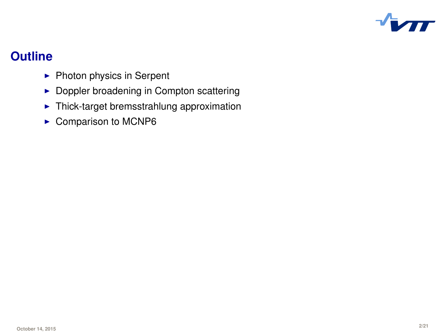

### **Outline**

- $\blacktriangleright$  Photon physics in Serpent
- $\blacktriangleright$  Doppler broadening in Compton scattering
- $\blacktriangleright$  Thick-target bremsstrahlung approximation
- $\blacktriangleright$  Comparison to MCNP6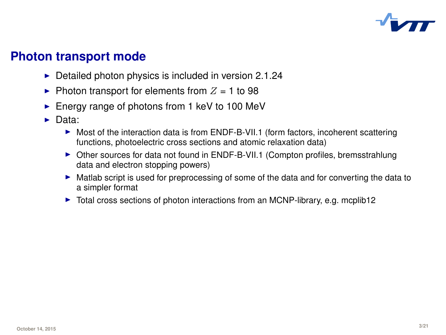

### **Photon transport mode**

- $\triangleright$  Detailed photon physics is included in version 2.1.24
- $\blacktriangleright$  Photon transport for elements from  $Z = 1$  to 98
- $\blacktriangleright$  Energy range of photons from 1 keV to 100 MeV
- $\triangleright$  Data:
	- $\triangleright$  Most of the interaction data is from ENDF-B-VII.1 (form factors, incoherent scattering functions, photoelectric cross sections and atomic relaxation data)
	- $\triangleright$  Other sources for data not found in ENDF-B-VII.1 (Compton profiles, bremsstrahlung data and electron stopping powers)
	- In Matlab script is used for preprocessing of some of the data and for converting the data to a simpler format
	- $\triangleright$  Total cross sections of photon interactions from an MCNP-library, e.g. mcplib12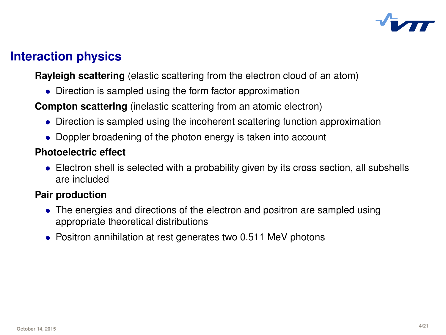

## **Interaction physics**

**Rayleigh scattering** (elastic scattering from the electron cloud of an atom)

• Direction is sampled using the form factor approximation

**Compton scattering** (inelastic scattering from an atomic electron)

- Direction is sampled using the incoherent scattering function approximation
- Doppler broadening of the photon energy is taken into account

#### **Photoelectric effect**

• Electron shell is selected with a probability given by its cross section, all subshells are included

#### **Pair production**

- The energies and directions of the electron and positron are sampled using appropriate theoretical distributions
- Positron annihilation at rest generates two 0.511 MeV photons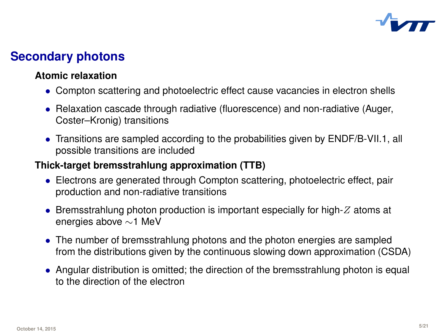

# **Secondary photons**

#### **Atomic relaxation**

- Compton scattering and photoelectric effect cause vacancies in electron shells
- Relaxation cascade through radiative (fluorescence) and non-radiative (Auger, Coster–Kronig) transitions
- Transitions are sampled according to the probabilities given by ENDF/B-VII.1, all possible transitions are included

#### **Thick-target bremsstrahlung approximation (TTB)**

- Electrons are generated through Compton scattering, photoelectric effect, pair production and non-radiative transitions
- Bremsstrahlung photon production is important especially for high- $Z$  atoms at energies above ∼1 MeV
- The number of bremsstrahlung photons and the photon energies are sampled from the distributions given by the continuous slowing down approximation (CSDA)
- Angular distribution is omitted; the direction of the bremsstrahlung photon is equal to the direction of the electron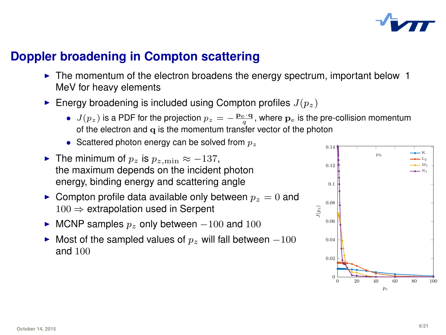

### **Doppler broadening in Compton scattering**

- $\blacktriangleright$  The momentum of the electron broadens the energy spectrum, important below 1 MeV for heavy elements
- Energy broadening is included using Compton profiles  $J(p_z)$ 
	- $J(p_z)$  is a PDF for the projection  $p_z = -\frac{\mathbf{p}_e \cdot \mathbf{q}}{q}$ , where  $\mathbf{p}_e$  is the pre-collision momentum of the electron and q is the momentum transfer vector of the photon
	- Scattered photon energy can be solved from  $p_{\infty}$
- **Figure 11 The minimum of**  $p_z$  is  $p_{z,\text{min}} \approx -137$ , the maximum depends on the incident photon energy, binding energy and scattering angle
- **Compton profile data available only between**  $p_z = 0$  and  $100 \Rightarrow$  extrapolation used in Serpent
- ► MCNP samples  $p_z$  only between  $-100$  and  $100$
- ► Most of the sampled values of  $p_z$  will fall between  $-100$ and 100

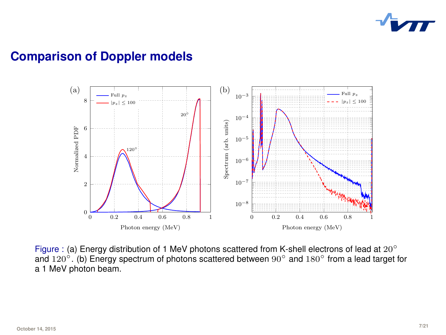

#### **Comparison of Doppler models**



Figure : (a) Energy distribution of 1 MeV photons scattered from K-shell electrons of lead at 20° and 120 $^{\circ}$ . (b) Energy spectrum of photons scattered between  $90^{\circ}$  and  $180^{\circ}$  from a lead target for a 1 MeV photon beam.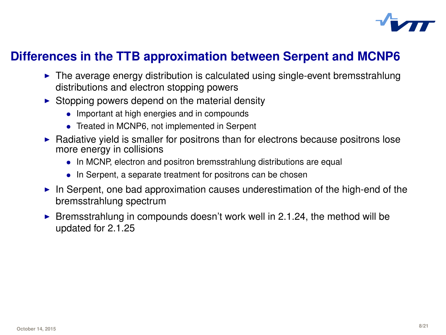

### **Differences in the TTB approximation between Serpent and MCNP6**

- $\blacktriangleright$  The average energy distribution is calculated using single-event bremsstrahlung distributions and electron stopping powers
- $\triangleright$  Stopping powers depend on the material density
	- Important at high energies and in compounds
	- Treated in MCNP6, not implemented in Serpent
- $\blacktriangleright$  Radiative yield is smaller for positrons than for electrons because positrons lose more energy in collisions
	- In MCNP, electron and positron bremsstrahlung distributions are equal
	- In Serpent, a separate treatment for positrons can be chosen
- In Serpent, one bad approximation causes underestimation of the high-end of the bremsstrahlung spectrum
- **EXECUTE:** Bremsstrahlung in compounds doesn't work well in 2.1.24, the method will be updated for 2.1.25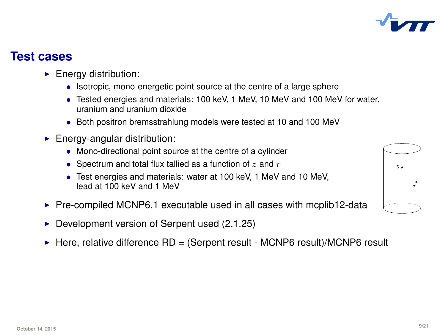### **Test cases**

- $\blacktriangleright$  Energy distribution:
	- Isotropic, mono-energetic point source at the centre of a large sphere
	- Tested energies and materials: 100 keV, 1 MeV, 10 MeV and 100 MeV for water, uranium and uranium dioxide
	- Both positron bremsstrahlung models were tested at 10 and 100 MeV
- $\blacktriangleright$  Energy-angular distribution:
	- Mono-directional point source at the centre of a cylinder
	- Spectrum and total flux tallied as a function of  $z$  and  $r$
	- Test energies and materials: water at 100 keV, 1 MeV and 10 MeV, lead at 100 keV and 1 MeV
- $\triangleright$  Pre-compiled MCNP6.1 executable used in all cases with mcplib12-data
- $\triangleright$  Development version of Serpent used (2.1.25)
- $\triangleright$  Here, relative difference RD = (Serpent result MCNP6 result)/MCNP6 result



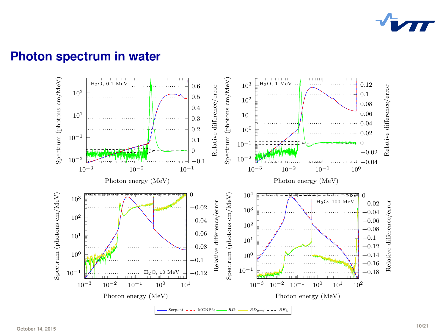

#### **Photon spectrum in water**

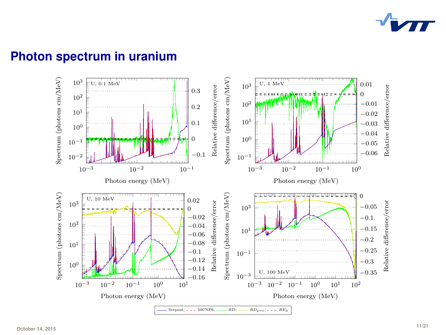

### **Photon spectrum in uranium**

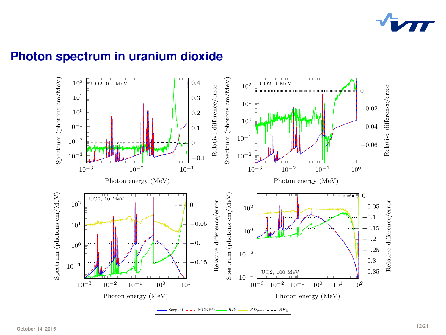

### **Photon spectrum in uranium dioxide**

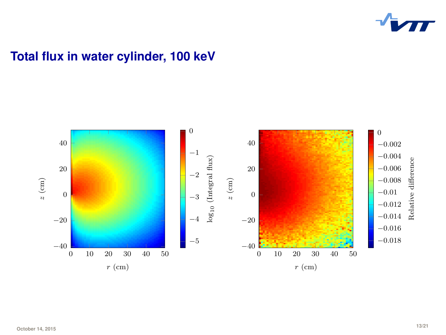

# **Total flux in water cylinder, 100 keV**

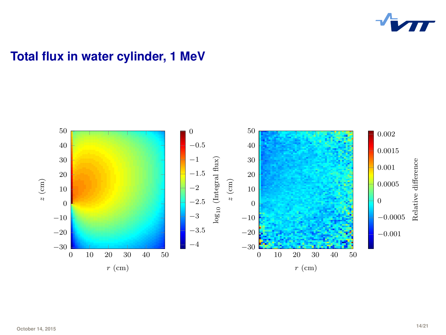

### **Total flux in water cylinder, 1 MeV**

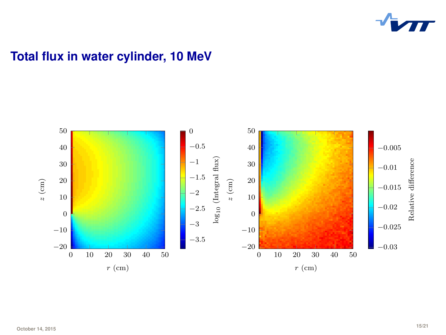

### **Total flux in water cylinder, 10 MeV**

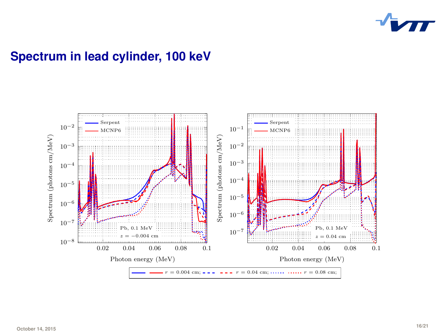

## **Spectrum in lead cylinder, 100 keV**

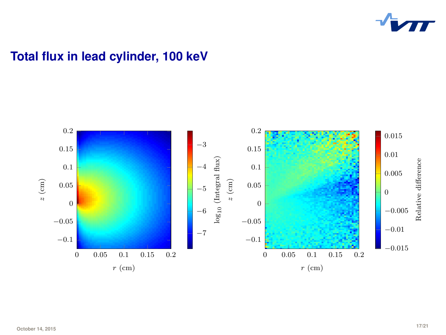

## **Total flux in lead cylinder, 100 keV**

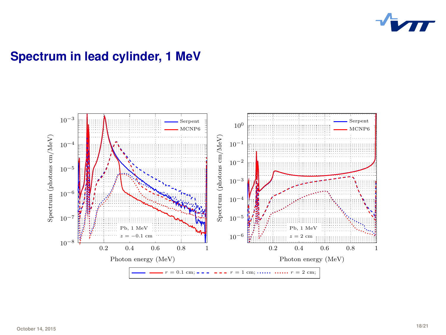

## **Spectrum in lead cylinder, 1 MeV**

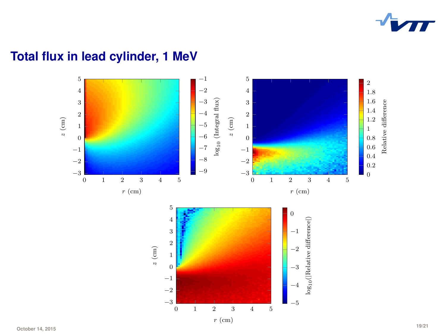

# **Total flux in lead cylinder, 1 MeV**

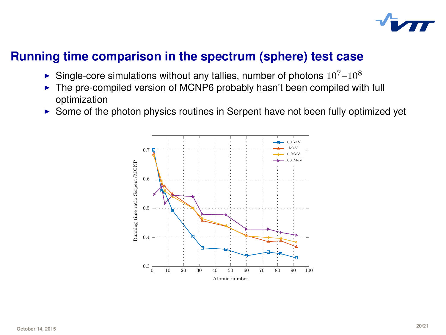

### **Running time comparison in the spectrum (sphere) test case**

- $\blacktriangleright$  Single-core simulations without any tallies, number of photons  $10^{7}-10^{8}$
- $\triangleright$  The pre-compiled version of MCNP6 probably hasn't been compiled with full optimization
- $\triangleright$  Some of the photon physics routines in Serpent have not been fully optimized yet